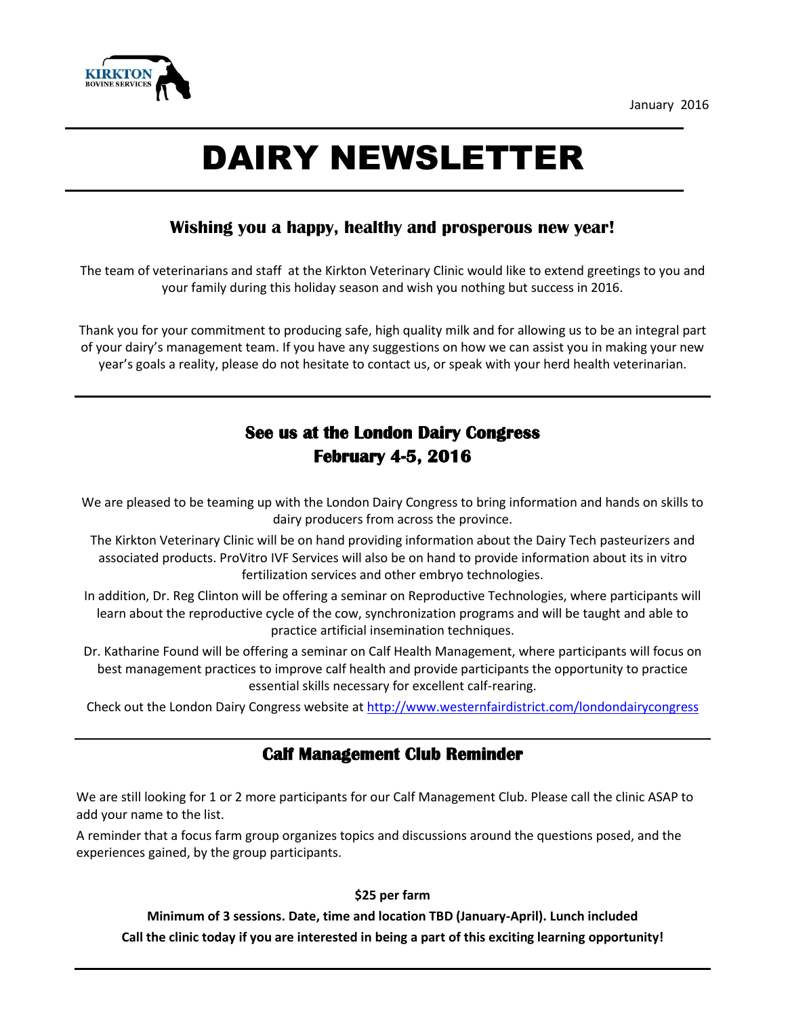

# DAIRY NEWSLETTER

## **Wishing you a happy, healthy and prosperous new year!**

The team of veterinarians and staff at the Kirkton Veterinary Clinic would like to extend greetings to you and your family during this holiday season and wish you nothing but success in 2016.

Thank you for your commitment to producing safe, high quality milk and for allowing us to be an integral part of your dairy's management team. If you have any suggestions on how we can assist you in making your new year's goals a reality, please do not hesitate to contact us, or speak with your herd health veterinarian.

# **See us at the London Dairy Congress February 4-5, 2016**

We are pleased to be teaming up with the London Dairy Congress to bring information and hands on skills to dairy producers from across the province.

The Kirkton Veterinary Clinic will be on hand providing information about the Dairy Tech pasteurizers and associated products. ProVitro IVF Services will also be on hand to provide information about its in vitro fertilization services and other embryo technologies.

In addition, Dr. Reg Clinton will be offering a seminar on Reproductive Technologies, where participants will learn about the reproductive cycle of the cow, synchronization programs and will be taught and able to practice artificial insemination techniques.

Dr. Katharine Found will be offering a seminar on Calf Health Management, where participants will focus on best management practices to improve calf health and provide participants the opportunity to practice essential skills necessary for excellent calf-rearing.

Check out the London Dairy Congress website at<http://www.westernfairdistrict.com/londondairycongress>

### **Calf Management Club Reminder**

We are still looking for 1 or 2 more participants for our Calf Management Club. Please call the clinic ASAP to add your name to the list.

A reminder that a focus farm group organizes topics and discussions around the questions posed, and the experiences gained, by the group participants.

#### **\$25 per farm**

**Minimum of 3 sessions. Date, time and location TBD (January-April). Lunch included Call the clinic today if you are interested in being a part of this exciting learning opportunity!**